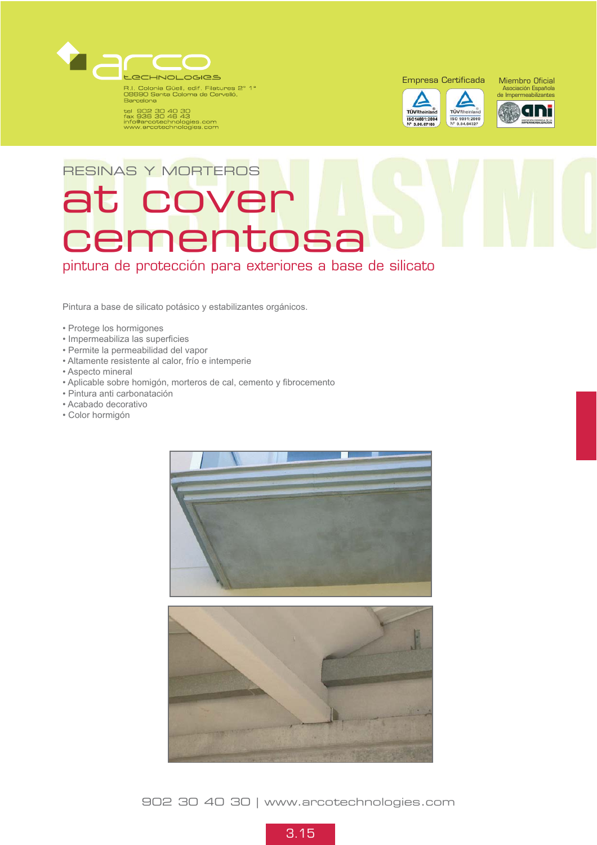

R.I. Colonia Güell, edif. Filatures 2° 1°<br>08690 Santa Coloma de Cervelló,<br>Barcelona

tel 902 30 40 30<br>fax 936 30 46 43<br>info@arcotechnologies.com<br>www.arcotechnologies.com

Empresa Certificada Miembro Oficial





# RESINAS Y MORTEROS at cover cementosa

pintura de protección para exteriores a base de silicato

Pintura a base de silicato potásico y estabilizantes orgánicos.

- Protege los hormigones
- Impermeabiliza las superficies
- Permite la permeabilidad del vapor
- Altamente resistente al calor, frío e intemperie
- Aspecto mineral
- Aplicable sobre homigón, morteros de cal, cemento y fibrocemento
- Pintura anti carbonatación
- Acabado decorativo
- Color hormigón



902 30 40 30 | www.arcotechnologies.com

3.15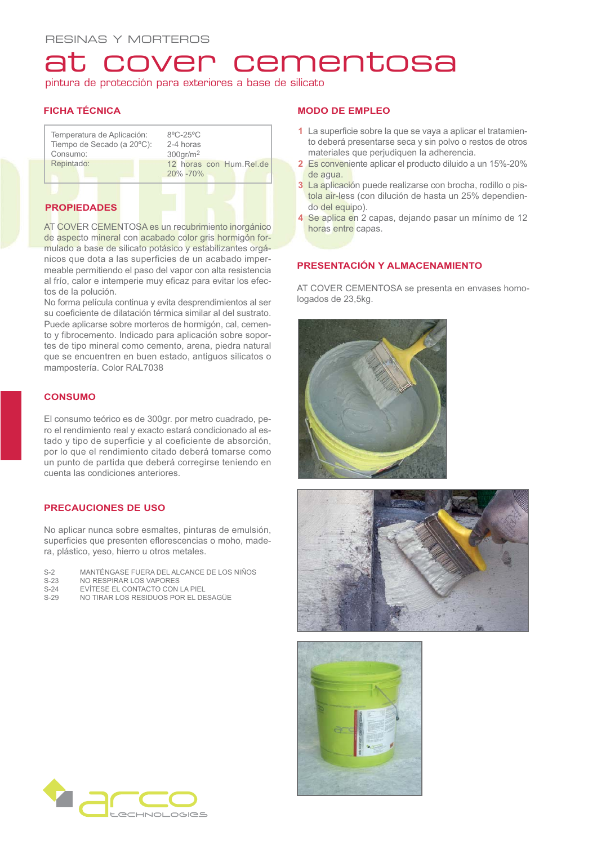### at cover cementosa

pintura de protección para exteriores a base de silicato

### **FICHA TÉCNICA**

| Temperatura de Aplicación:<br>Tiempo de Secado (a 20°C): | $8^{\circ}$ C-25 $^{\circ}$ C<br>2-4 horas |  |  |
|----------------------------------------------------------|--------------------------------------------|--|--|
| Consumo:                                                 | $300$ gr/m <sup>2</sup>                    |  |  |
| Repintado:                                               | 12 horas con Hum. Rel.de<br>20% - 70%      |  |  |

### **PROPIEDADES**

AT COVER CEMENTOSA es un recubrimiento inorgánico de aspecto mineral con acabado color gris hormigón formulado a base de silicato potásico y estabilizantes orgánicos que dota a las superficies de un acabado impermeable permitiendo el paso del vapor con alta resistencia al frío, calor e intemperie muy eficaz para evitar los efectos de la polución.

No forma película continua y evita desprendimientos al ser su coeficiente de dilatación térmica similar al del sustrato. Puede aplicarse sobre morteros de hormigón, cal, cemento y fibrocemento. Indicado para aplicación sobre soportes de tipo mineral como cemento, arena, piedra natural que se encuentren en buen estado, antiguos silicatos o mampostería. Color RAL7038

### **CONSUMO**

El consumo teórico es de 300gr. por metro cuadrado, pero el rendimiento real y exacto estará condicionado al estado y tipo de superficie y al coeficiente de absorción, por lo que el rendimiento citado deberá tomarse como un punto de partida que deberá corregirse teniendo en cuenta las condiciones anteriores.

### **PRECAUCIONES DE USO**

No aplicar nunca sobre esmaltes, pinturas de emulsión, superficies que presenten eflorescencias o moho, madera, plástico, yeso, hierro u otros metales.

- S-2 MANTÉNGASE FUERA DEL ALCANCE DE LOS NIÑOS<br>S-23 NO RESPIRAR LOS VAPORES
- S-23 NO RESPIRAR LOS VAPORES<br>S-24 EVÍTESE EL CONTACTO CON
- S-24 EVÍTESE EL CONTACTO CON LA PIEL<br>S-29 NO TIRAR LOS RESIDUOS POR EL DE
- NO TIRAR LOS RESIDUOS POR EL DESAGÜE

### **MODO DE EMPLEO**

- **1** La superficie sobre la que se vaya a aplicar el tratamiento deberá presentarse seca y sin polvo o restos de otros materiales que perjudiquen la adherencia.
- **2** Es conveniente aplicar el producto diluido a un 15%-20% de agua.
- **3** La aplicación puede realizarse con brocha, rodillo o pistola air-less (con dilución de hasta un 25% dependiendo del equipo).
- **4** Se aplica en 2 capas, dejando pasar un mínimo de 12 horas entre capas.

### **PRESENTACIÓN Y ALMACENAMIENTO**

AT COVER CEMENTOSA se presenta en envases homologados de 23,5kg.







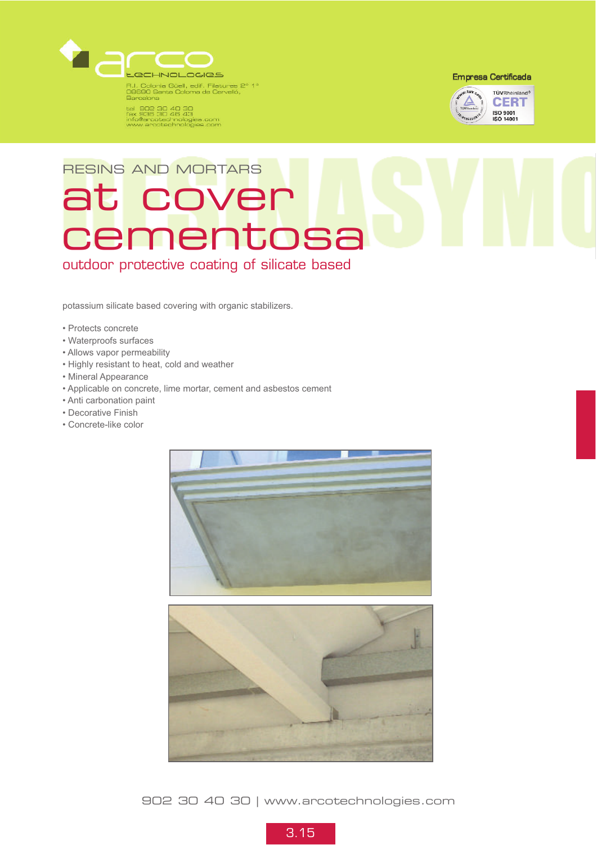

tel 902 30 40 30<br>fax 936 30 46 43<br>info@arcotechnologies.com<br>www.arcotechnologies.com

**Empresa Certificada** 



# RESINS AND MORTARS at cover cementosa

outdoor protective coating of silicate based

potassium silicate based covering with organic stabilizers.

- Protects concrete
- Waterproofs surfaces
- Allows vapor permeability
- Highly resistant to heat, cold and weather
- Mineral Appearance
- Applicable on concrete, lime mortar, cement and asbestos cement
- Anti carbonation paint
- Decorative Finish
- Concrete-like color



902 30 40 30 | www.arcotechnologies.com

3.15